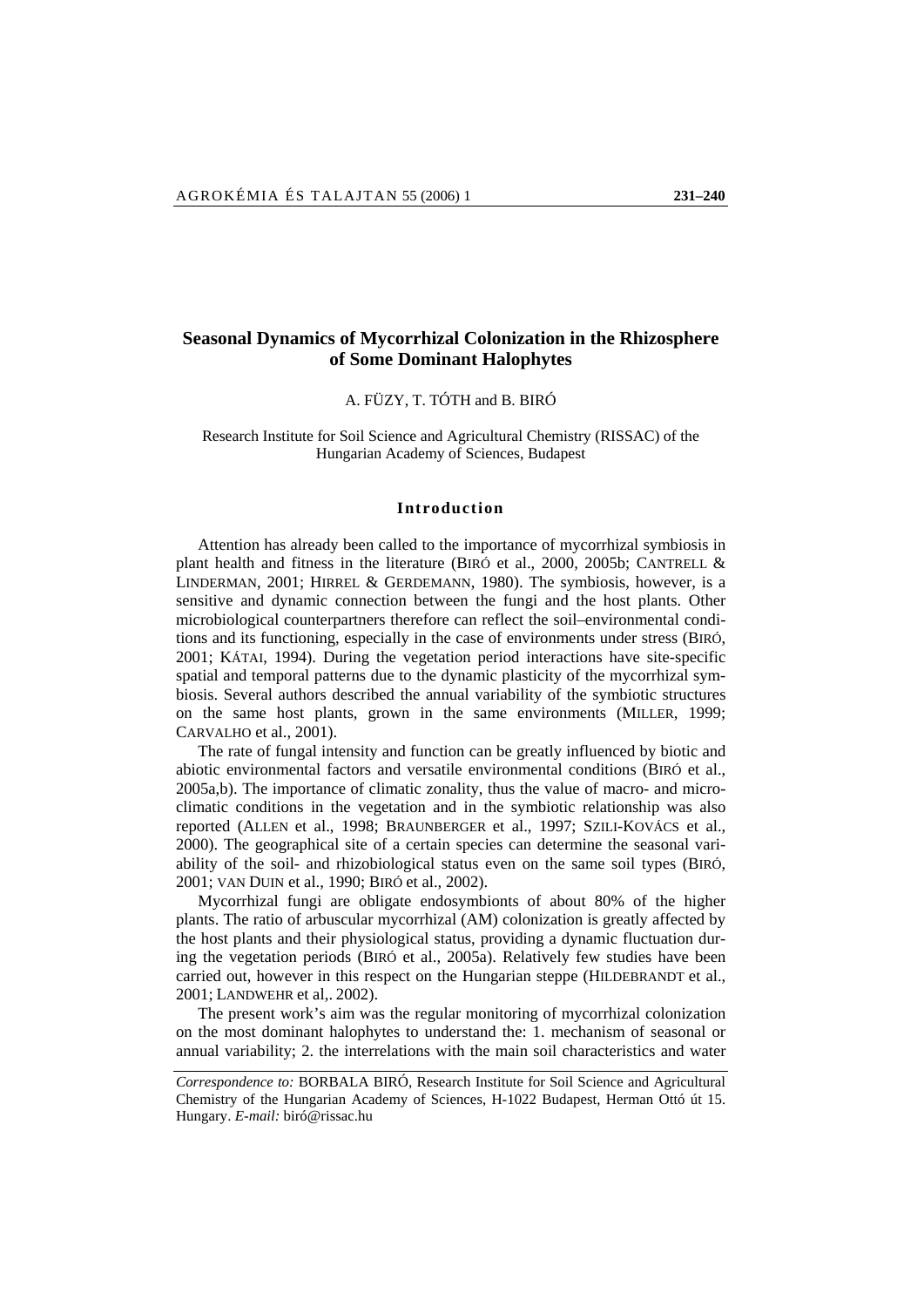# **Seasonal Dynamics of Mycorrhizal Colonization in the Rhizosphere of Some Dominant Halophytes**

A. FÜZY, T. TÓTH and B. BIRÓ

# Research Institute for Soil Science and Agricultural Chemistry (RISSAC) of the Hungarian Academy of Sciences, Budapest

## **Introduction**

Attention has already been called to the importance of mycorrhizal symbiosis in plant health and fitness in the literature (BIRÓ et al., 2000, 2005b; CANTRELL & LINDERMAN, 2001; HIRREL & GERDEMANN, 1980). The symbiosis, however, is a sensitive and dynamic connection between the fungi and the host plants. Other microbiological counterpartners therefore can reflect the soil–environmental conditions and its functioning, especially in the case of environments under stress (BIRÓ, 2001; KÁTAI, 1994). During the vegetation period interactions have site-specific spatial and temporal patterns due to the dynamic plasticity of the mycorrhizal symbiosis. Several authors described the annual variability of the symbiotic structures on the same host plants, grown in the same environments (MILLER, 1999; CARVALHO et al., 2001).

The rate of fungal intensity and function can be greatly influenced by biotic and abiotic environmental factors and versatile environmental conditions (BIRÓ et al., 2005a,b). The importance of climatic zonality, thus the value of macro- and microclimatic conditions in the vegetation and in the symbiotic relationship was also reported (ALLEN et al., 1998; BRAUNBERGER et al., 1997; SZILI-KOVÁCS et al., 2000). The geographical site of a certain species can determine the seasonal variability of the soil- and rhizobiological status even on the same soil types (BIRÓ, 2001; VAN DUIN et al., 1990; BIRÓ et al., 2002).

Mycorrhizal fungi are obligate endosymbionts of about 80% of the higher plants. The ratio of arbuscular mycorrhizal (AM) colonization is greatly affected by the host plants and their physiological status, providing a dynamic fluctuation during the vegetation periods (BIRÓ et al., 2005a). Relatively few studies have been carried out, however in this respect on the Hungarian steppe (HILDEBRANDT et al., 2001; LANDWEHR et al,. 2002).

The present work's aim was the regular monitoring of mycorrhizal colonization on the most dominant halophytes to understand the: 1. mechanism of seasonal or annual variability; 2. the interrelations with the main soil characteristics and water

*Correspondence to:* BORBALA BIRÓ, Research Institute for Soil Science and Agricultural Chemistry of the Hungarian Academy of Sciences, H-1022 Budapest, Herman Ottó út 15. Hungary. *E-mail:* biró@rissac.hu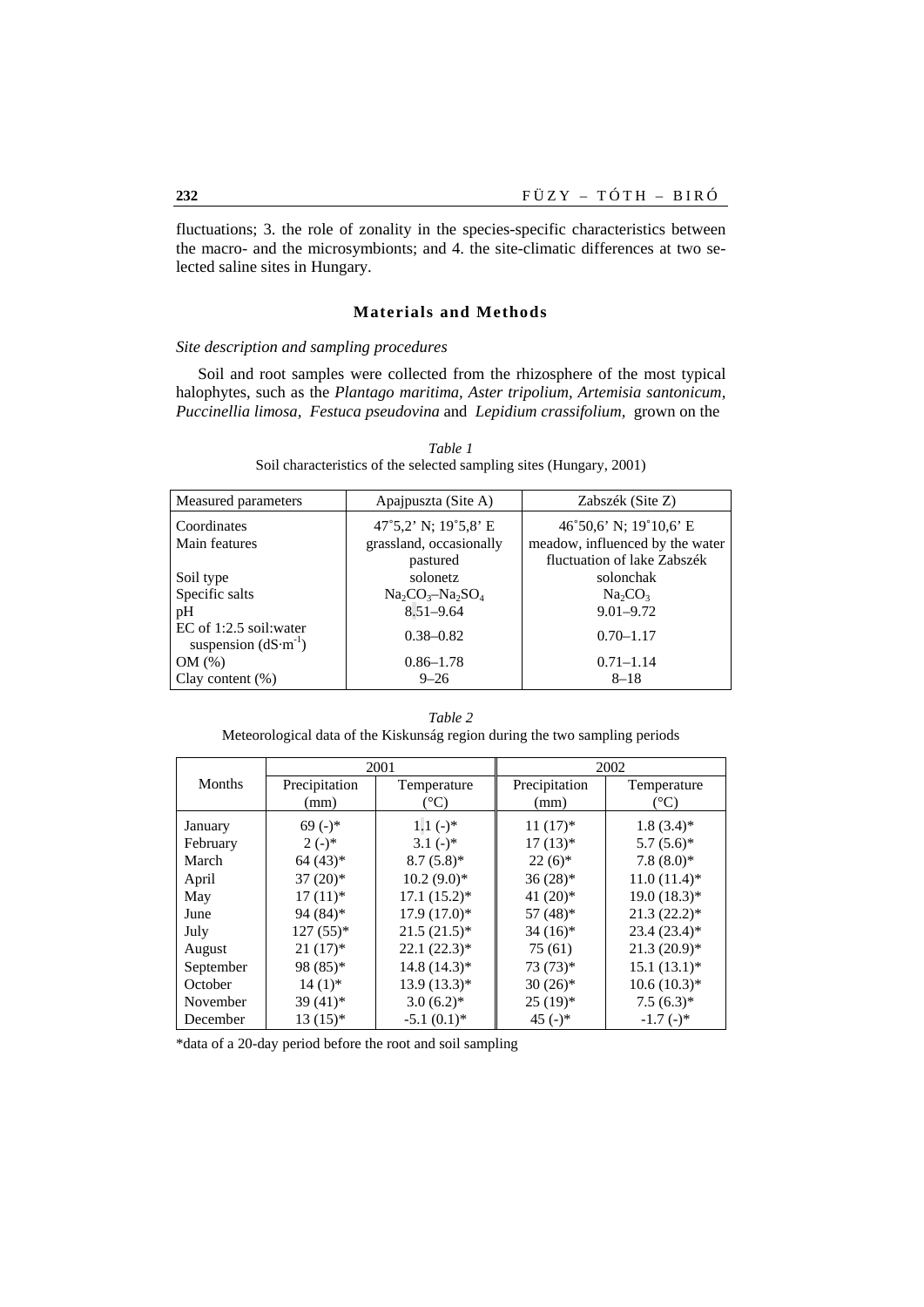fluctuations; 3. the role of zonality in the species-specific characteristics between the macro- and the microsymbionts; and 4. the site-climatic differences at two selected saline sites in Hungary.

# **Materials and Methods**

# *Site description and sampling procedures*

Soil and root samples were collected from the rhizosphere of the most typical halophytes, such as the *Plantago maritima, Aster tripolium, Artemisia santonicum, Puccinellia limosa, Festuca pseudovina* and *Lepidium crassifolium,* grown on the

| Measured parameters                                   | Apaipuszta (Site A)     | Zabszék (Site Z)                |  |
|-------------------------------------------------------|-------------------------|---------------------------------|--|
| Coordinates                                           | 47°5,2' N; $19°5,8'$ E  | 46°50,6' N; 19°10,6' E          |  |
| Main features                                         | grassland, occasionally | meadow, influenced by the water |  |
|                                                       | pastured                | fluctuation of lake Zabszék     |  |
| Soil type                                             | solonetz                | solonchak                       |  |
| Specific salts                                        | $Na_2CO_3-Na_2SO_4$     | $Na_2CO_3$                      |  |
| pH                                                    | $8.51 - 9.64$           | $9.01 - 9.72$                   |  |
| EC of $1:2.5$ soil: water<br>suspension $(dS·m^{-1})$ | $0.38 - 0.82$           | $0.70 - 1.17$                   |  |
| OM(%)                                                 | $0.86 - 1.78$           | $0.71 - 1.14$                   |  |
| Clay content $(\%)$                                   | $9 - 26$                | $8 - 18$                        |  |

*Table 1*  Soil characteristics of the selected sampling sites (Hungary, 2001)

*Table 2*  Meteorological data of the Kiskunság region during the two sampling periods

|           | 2001          |                | 2002                   |                |  |
|-----------|---------------|----------------|------------------------|----------------|--|
| Months    | Precipitation | Temperature    | Precipitation          | Temperature    |  |
|           | (mm)          | $(^{\circ}C)$  | (mm)                   | $(^{\circ}C)$  |  |
| January   | $69(-)$ *     | $1.1(-)$ *     | $11(17)*$              | $1.8(3.4)$ *   |  |
| February  | $2(-)$ *      | $3.1(-)$ *     | $17(13)*$              | $5.7(5.6)^*$   |  |
| March     | $64(43)*$     | $8.7(5.8)$ *   | $22(6)*$               | $7.8(8.0)*$    |  |
| April     | $37(20)$ *    | $10.2 (9.0)^*$ | $36(28)$ *             | $11.0(11.4)$ * |  |
| May       | $17(11)*$     | $17.1(15.2)^*$ | 41 $(20)$ <sup>*</sup> | $19.0(18.3)*$  |  |
| June      | 94 (84)*      | $17.9(17.0)^*$ | $57(48)$ *             | $21.3(22.2)^*$ |  |
| July      | $127(55)*$    | $21.5(21.5)^*$ | $34(16)*$              | $23.4(23.4)*$  |  |
| August    | $21(17)^*$    | $22.1(22.3)*$  | 75 (61)                | $21.3(20.9)*$  |  |
| September | 98 (85)*      | $14.8(14.3)*$  | $73(73)*$              | $15.1(13.1)*$  |  |
| October   | $14(1)$ *     | $13.9(13.3)*$  | $30(26)$ *             | $10.6(10.3)*$  |  |
| November  | $39(41)$ *    | $3.0(6.2)$ *   | $25(19)*$              | $7.5(6.3)*$    |  |
| December  | $13(15)*$     | $-5.1(0.1)$ *  | 45 $(-)$ *             | $-1.7(-)$ *    |  |

\*data of a 20-day period before the root and soil sampling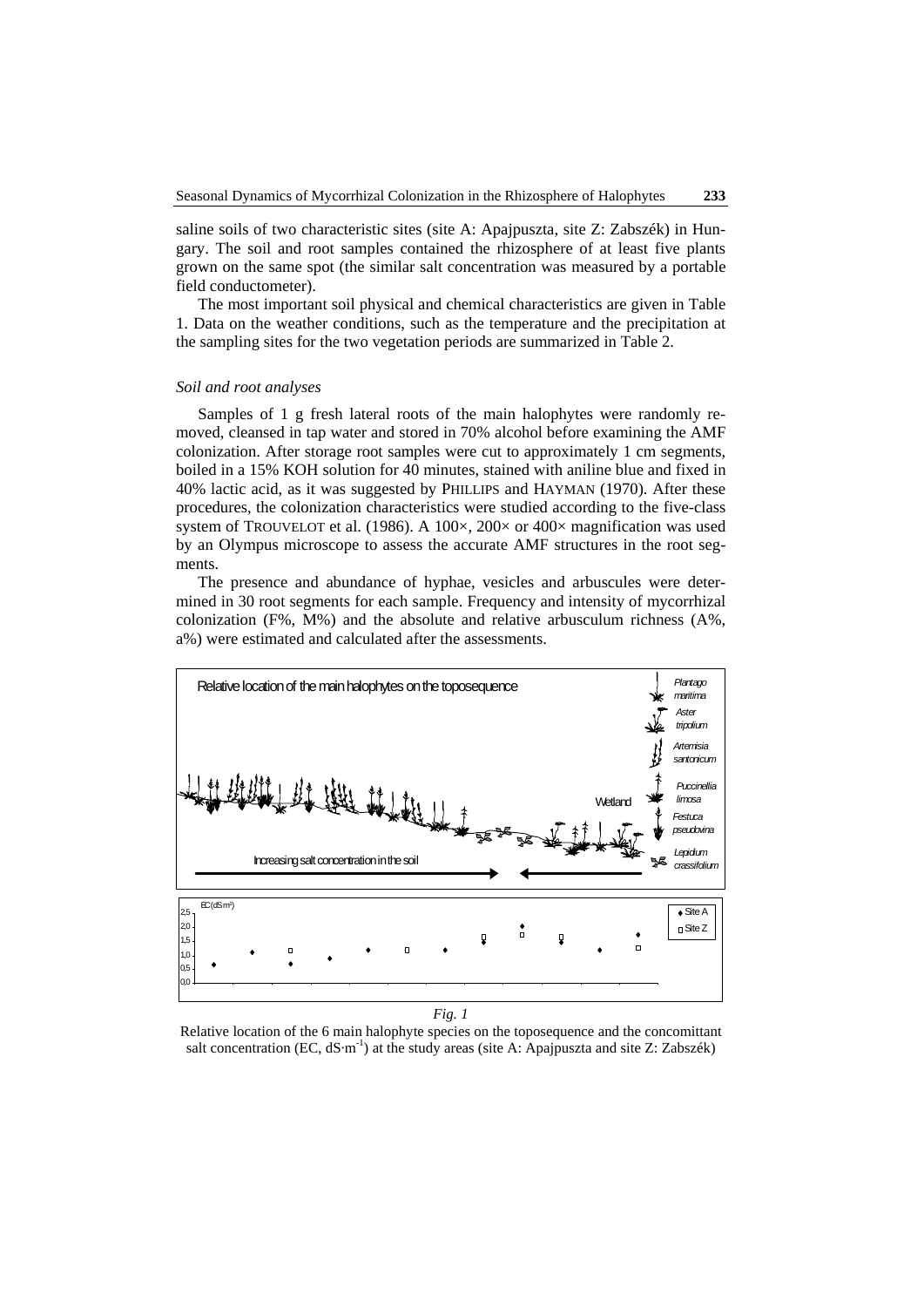saline soils of two characteristic sites (site A: Apajpuszta, site Z: Zabszék) in Hungary. The soil and root samples contained the rhizosphere of at least five plants grown on the same spot (the similar salt concentration was measured by a portable field conductometer).

The most important soil physical and chemical characteristics are given in Table 1. Data on the weather conditions, such as the temperature and the precipitation at the sampling sites for the two vegetation periods are summarized in Table 2.

#### *Soil and root analyses*

Samples of 1 g fresh lateral roots of the main halophytes were randomly removed, cleansed in tap water and stored in 70% alcohol before examining the AMF colonization. After storage root samples were cut to approximately 1 cm segments, boiled in a 15% KOH solution for 40 minutes, stained with aniline blue and fixed in 40% lactic acid, as it was suggested by PHILLIPS and HAYMAN (1970). After these procedures, the colonization characteristics were studied according to the five-class system of TROUVELOT et al. (1986). A 100 $\times$ , 200 $\times$  or 400 $\times$  magnification was used by an Olympus microscope to assess the accurate AMF structures in the root segments.

The presence and abundance of hyphae, vesicles and arbuscules were determined in 30 root segments for each sample. Frequency and intensity of mycorrhizal colonization (F%, M%) and the absolute and relative arbusculum richness (A%, a%) were estimated and calculated after the assessments.



*Fig. 1* 

Relative location of the 6 main halophyte species on the toposequence and the concomittant salt concentration (EC,  $dS·m^{-1}$ ) at the study areas (site A: Apajpuszta and site Z: Zabszék)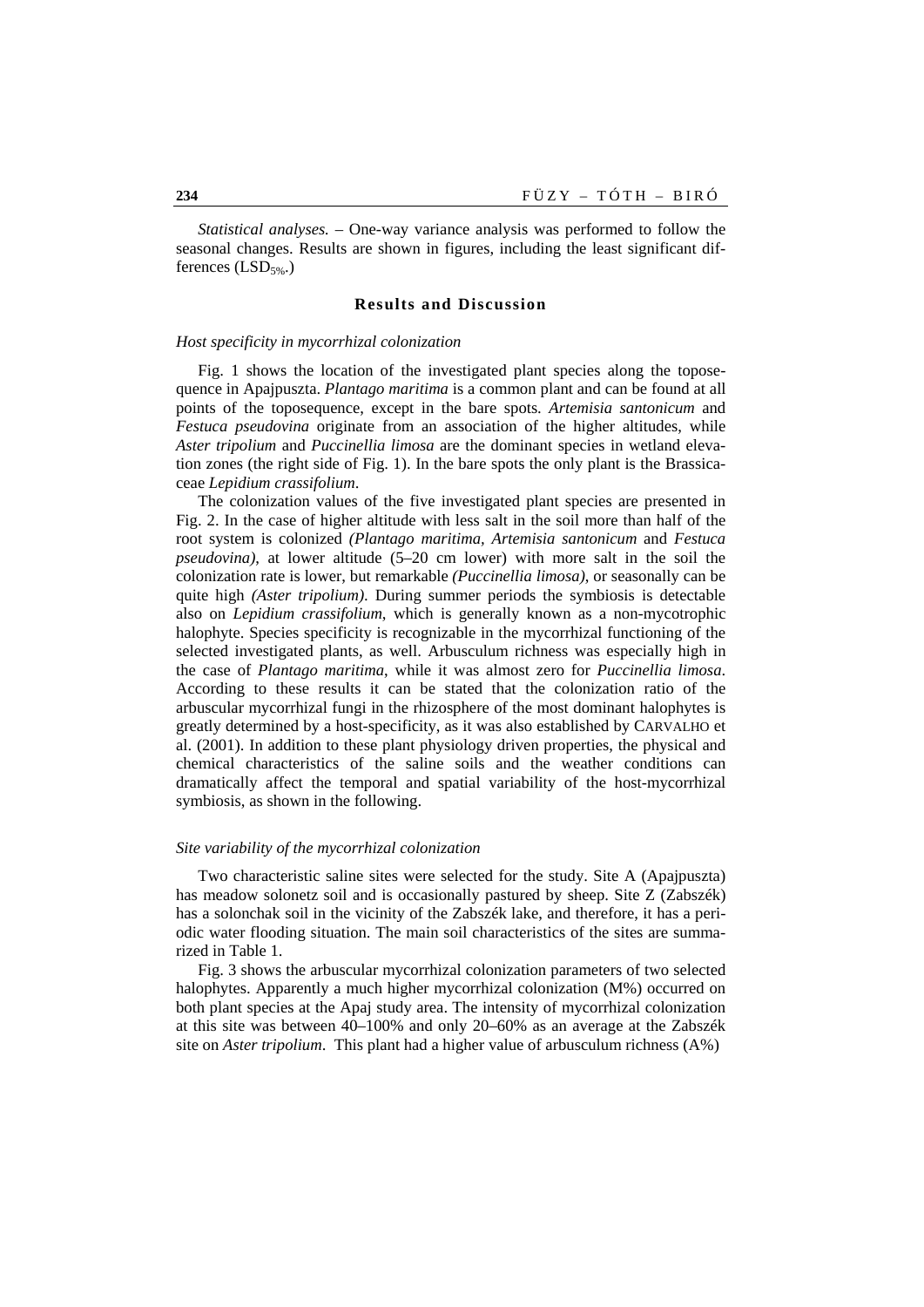*Statistical analyses. –* One-way variance analysis was performed to follow the seasonal changes. Results are shown in figures, including the least significant differences  $(LSD<sub>5%</sub>)$ 

#### **Results and Discussion**

#### *Host specificity in mycorrhizal colonization*

Fig. 1 shows the location of the investigated plant species along the toposequence in Apajpuszta. *Plantago maritima* is a common plant and can be found at all points of the toposequence, except in the bare spots. *Artemisia santonicum* and *Festuca pseudovina* originate from an association of the higher altitudes, while *Aster tripolium* and *Puccinellia limosa* are the dominant species in wetland elevation zones (the right side of Fig. 1). In the bare spots the only plant is the Brassicaceae *Lepidium crassifolium*.

The colonization values of the five investigated plant species are presented in Fig. 2. In the case of higher altitude with less salt in the soil more than half of the root system is colonized *(Plantago maritima, Artemisia santonicum* and *Festuca pseudovina)*, at lower altitude (5–20 cm lower) with more salt in the soil the colonization rate is lower, but remarkable *(Puccinellia limosa)*, or seasonally can be quite high *(Aster tripolium)*. During summer periods the symbiosis is detectable also on *Lepidium crassifolium*, which is generally known as a non-mycotrophic halophyte. Species specificity is recognizable in the mycorrhizal functioning of the selected investigated plants, as well. Arbusculum richness was especially high in the case of *Plantago maritima*, while it was almost zero for *Puccinellia limosa*. According to these results it can be stated that the colonization ratio of the arbuscular mycorrhizal fungi in the rhizosphere of the most dominant halophytes is greatly determined by a host-specificity, as it was also established by CARVALHO et al. (2001). In addition to these plant physiology driven properties, the physical and chemical characteristics of the saline soils and the weather conditions can dramatically affect the temporal and spatial variability of the host-mycorrhizal symbiosis, as shown in the following.

#### *Site variability of the mycorrhizal colonization*

Two characteristic saline sites were selected for the study. Site A (Apajpuszta) has meadow solonetz soil and is occasionally pastured by sheep. Site Z (Zabszék) has a solonchak soil in the vicinity of the Zabszék lake, and therefore, it has a periodic water flooding situation. The main soil characteristics of the sites are summarized in Table 1.

Fig. 3 shows the arbuscular mycorrhizal colonization parameters of two selected halophytes. Apparently a much higher mycorrhizal colonization (M%) occurred on both plant species at the Apaj study area. The intensity of mycorrhizal colonization at this site was between 40–100% and only 20–60% as an average at the Zabszék site on *Aster tripolium*. This plant had a higher value of arbusculum richness (A%)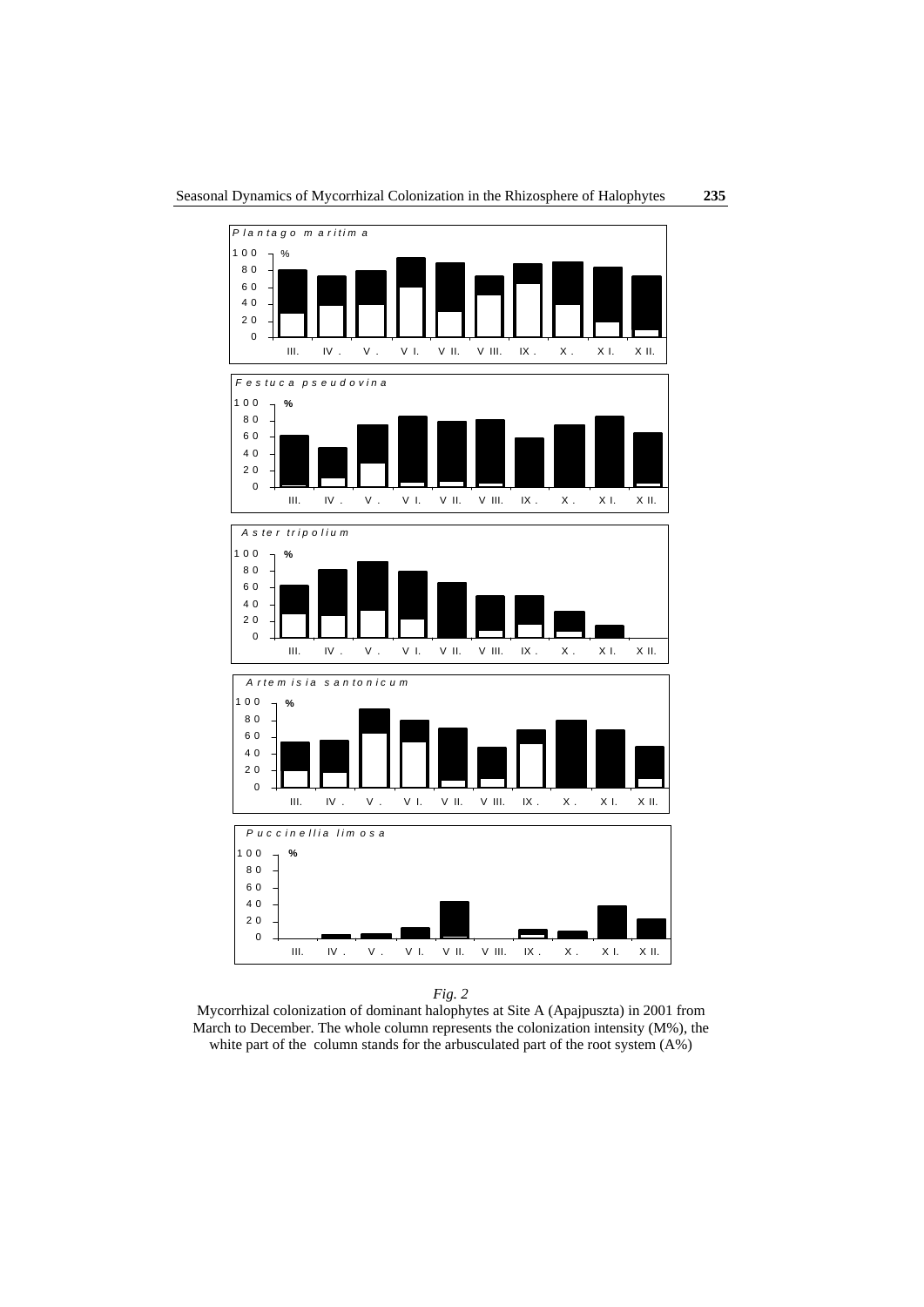

*Fig. 2* 

Mycorrhizal colonization of dominant halophytes at Site A (Apajpuszta) in 2001 from March to December. The whole column represents the colonization intensity (M%), the white part of the column stands for the arbusculated part of the root system  $(A\%)$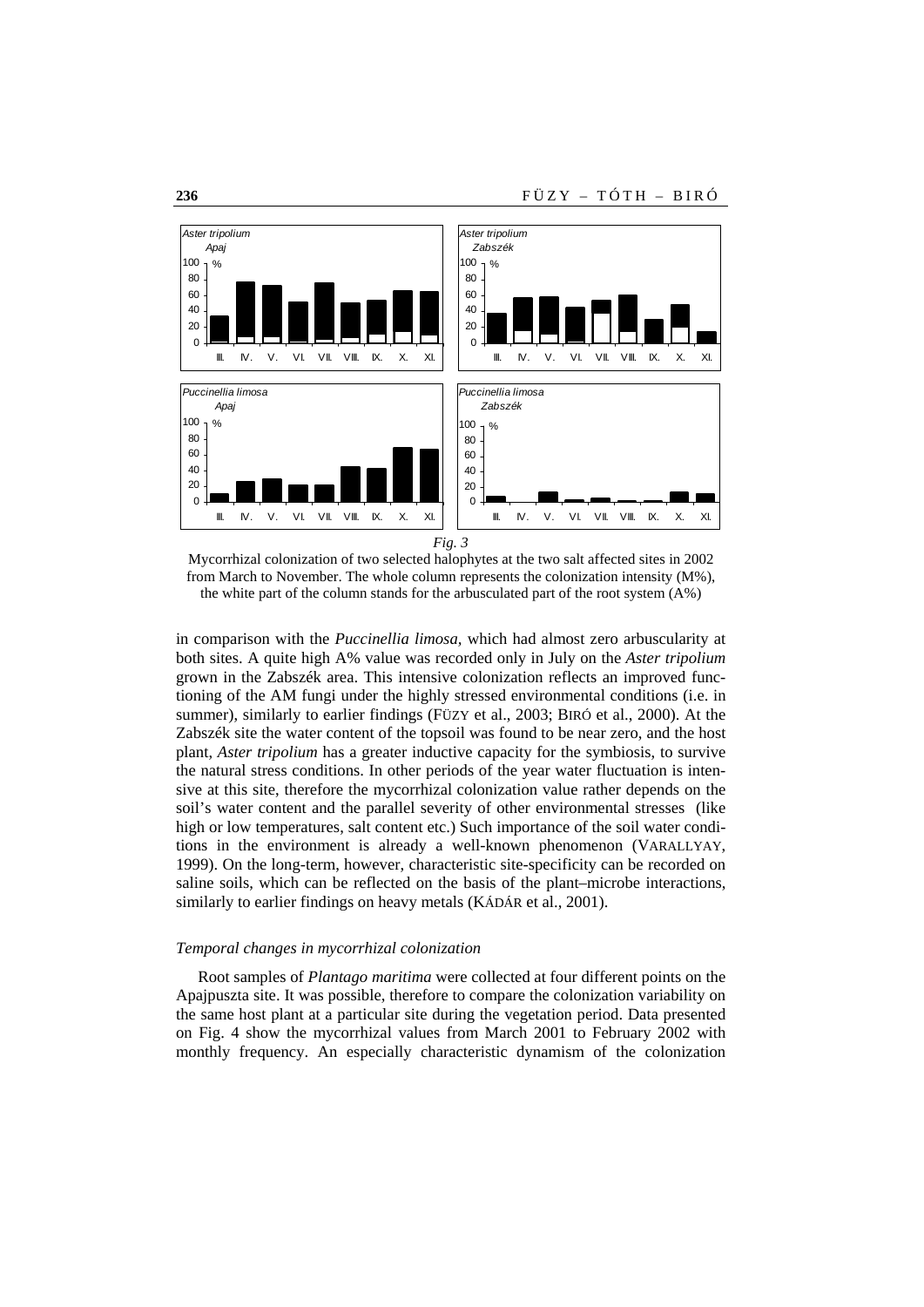

Mycorrhizal colonization of two selected halophytes at the two salt affected sites in 2002 from March to November. The whole column represents the colonization intensity (M%), the white part of the column stands for the arbusculated part of the root system (A%)

in comparison with the *Puccinellia limosa,* which had almost zero arbuscularity at both sites. A quite high A% value was recorded only in July on the *Aster tripolium* grown in the Zabszék area. This intensive colonization reflects an improved functioning of the AM fungi under the highly stressed environmental conditions (i.e. in summer), similarly to earlier findings (FÜZY et al., 2003; BIRÓ et al., 2000). At the Zabszék site the water content of the topsoil was found to be near zero, and the host plant, *Aster tripolium* has a greater inductive capacity for the symbiosis, to survive the natural stress conditions. In other periods of the year water fluctuation is intensive at this site, therefore the mycorrhizal colonization value rather depends on the soil's water content and the parallel severity of other environmental stresses (like high or low temperatures, salt content etc.) Such importance of the soil water conditions in the environment is already a well-known phenomenon (VARALLYAY, 1999). On the long-term, however, characteristic site-specificity can be recorded on saline soils, which can be reflected on the basis of the plant–microbe interactions, similarly to earlier findings on heavy metals (KÁDÁR et al., 2001).

#### *Temporal changes in mycorrhizal colonization*

Root samples of *Plantago maritima* were collected at four different points on the Apajpuszta site. It was possible, therefore to compare the colonization variability on the same host plant at a particular site during the vegetation period. Data presented on Fig. 4 show the mycorrhizal values from March 2001 to February 2002 with monthly frequency. An especially characteristic dynamism of the colonization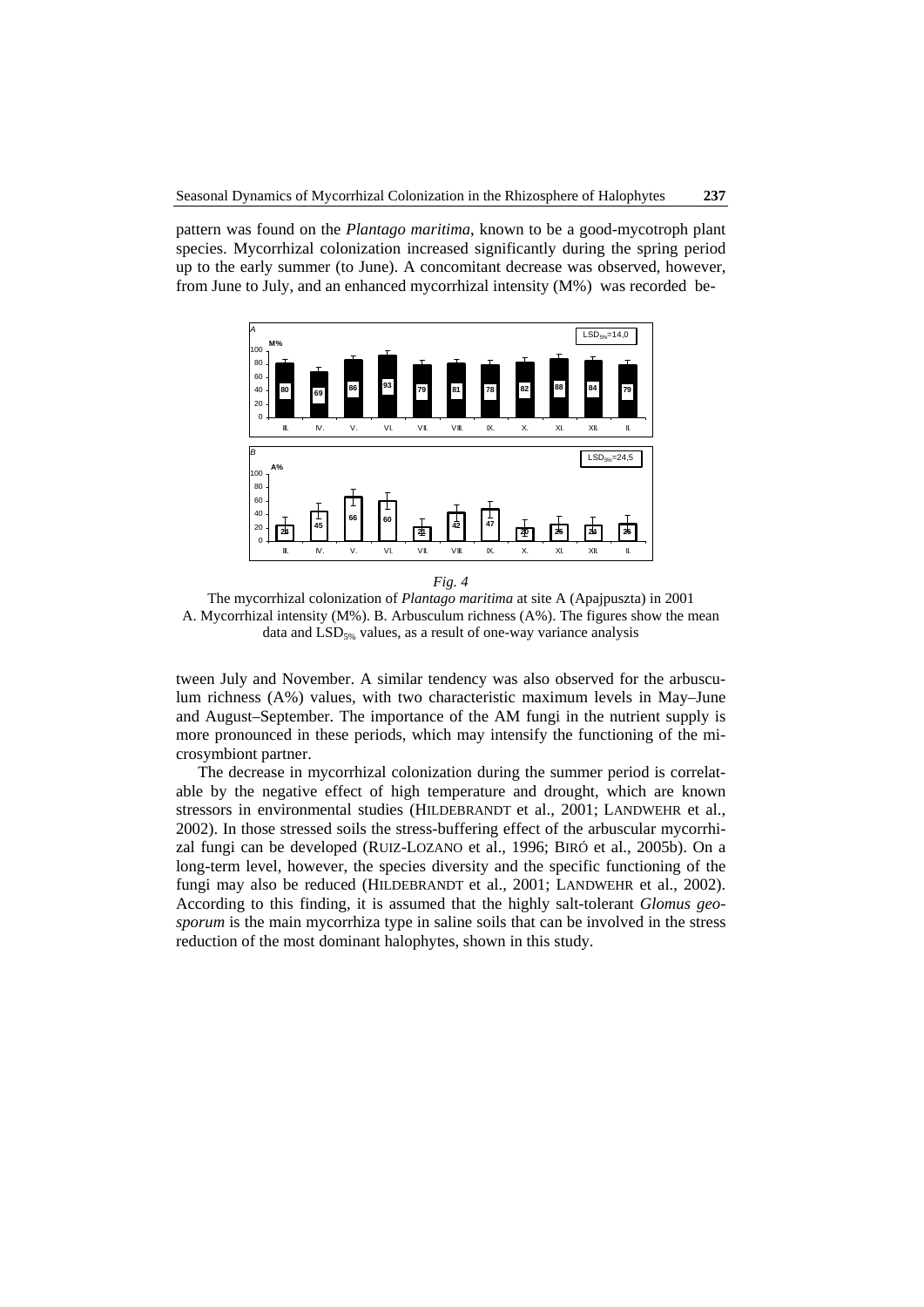pattern was found on the *Plantago maritima*, known to be a good-mycotroph plant species. Mycorrhizal colonization increased significantly during the spring period up to the early summer (to June). A concomitant decrease was observed, however, from June to July, and an enhanced mycorrhizal intensity (M%) was recorded be-



*Fig. 4* 

The mycorrhizal colonization of *Plantago maritima* at site A (Apajpuszta) in 2001 A. Mycorrhizal intensity (M%). B. Arbusculum richness (A%). The figures show the mean data and  $LSD<sub>5%</sub>$  values, as a result of one-way variance analysis

tween July and November. A similar tendency was also observed for the arbusculum richness (A%) values, with two characteristic maximum levels in May–June and August–September. The importance of the AM fungi in the nutrient supply is more pronounced in these periods, which may intensify the functioning of the microsymbiont partner.

The decrease in mycorrhizal colonization during the summer period is correlatable by the negative effect of high temperature and drought, which are known stressors in environmental studies (HILDEBRANDT et al., 2001; LANDWEHR et al., 2002). In those stressed soils the stress-buffering effect of the arbuscular mycorrhizal fungi can be developed (RUIZ-LOZANO et al., 1996; BIRÓ et al., 2005b). On a long-term level, however, the species diversity and the specific functioning of the fungi may also be reduced (HILDEBRANDT et al., 2001; LANDWEHR et al., 2002). According to this finding, it is assumed that the highly salt-tolerant *Glomus geosporum* is the main mycorrhiza type in saline soils that can be involved in the stress reduction of the most dominant halophytes, shown in this study.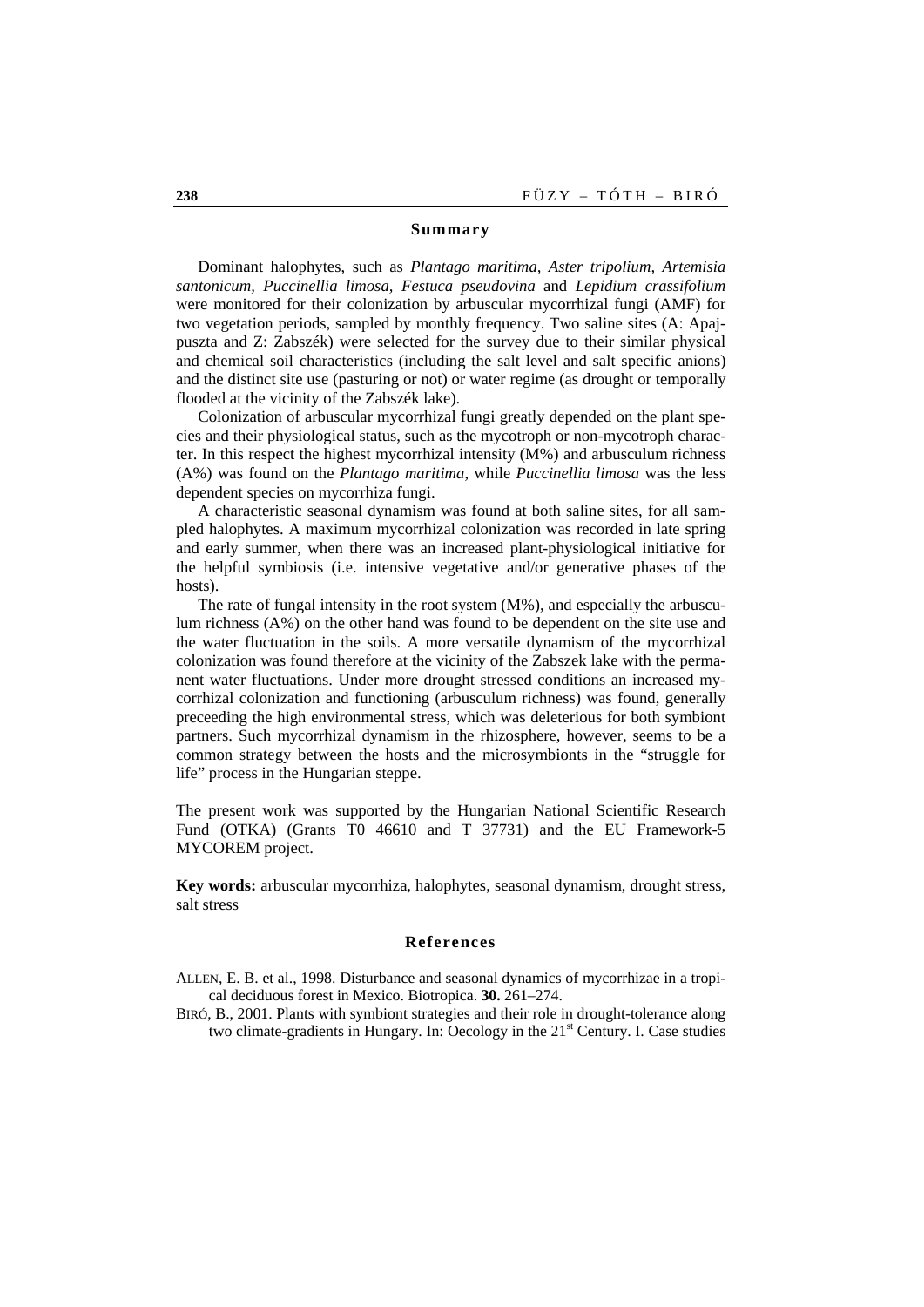### **Summary**

Dominant halophytes, such as *Plantago maritima, Aster tripolium, Artemisia santonicum, Puccinellia limosa, Festuca pseudovina* and *Lepidium crassifolium* were monitored for their colonization by arbuscular mycorrhizal fungi (AMF) for two vegetation periods, sampled by monthly frequency. Two saline sites (A: Apajpuszta and Z: Zabszék) were selected for the survey due to their similar physical and chemical soil characteristics (including the salt level and salt specific anions) and the distinct site use (pasturing or not) or water regime (as drought or temporally flooded at the vicinity of the Zabszék lake).

Colonization of arbuscular mycorrhizal fungi greatly depended on the plant species and their physiological status, such as the mycotroph or non-mycotroph character. In this respect the highest mycorrhizal intensity (M%) and arbusculum richness (A%) was found on the *Plantago maritima*, while *Puccinellia limosa* was the less dependent species on mycorrhiza fungi.

A characteristic seasonal dynamism was found at both saline sites, for all sampled halophytes. A maximum mycorrhizal colonization was recorded in late spring and early summer, when there was an increased plant-physiological initiative for the helpful symbiosis (i.e. intensive vegetative and/or generative phases of the hosts).

The rate of fungal intensity in the root system  $(M\%)$ , and especially the arbusculum richness (A%) on the other hand was found to be dependent on the site use and the water fluctuation in the soils. A more versatile dynamism of the mycorrhizal colonization was found therefore at the vicinity of the Zabszek lake with the permanent water fluctuations. Under more drought stressed conditions an increased mycorrhizal colonization and functioning (arbusculum richness) was found, generally preceeding the high environmental stress, which was deleterious for both symbiont partners. Such mycorrhizal dynamism in the rhizosphere, however, seems to be a common strategy between the hosts and the microsymbionts in the "struggle for life" process in the Hungarian steppe.

The present work was supported by the Hungarian National Scientific Research Fund (OTKA) (Grants T0 46610 and T 37731) and the EU Framework-5 MYCOREM project.

**Key words:** arbuscular mycorrhiza, halophytes, seasonal dynamism, drought stress, salt stress

### **References**

ALLEN, E. B. et al., 1998. Disturbance and seasonal dynamics of mycorrhizae in a tropical deciduous forest in Mexico. Biotropica. **30.** 261–274.

BIRÓ, B., 2001. Plants with symbiont strategies and their role in drought-tolerance along two climate-gradients in Hungary. In: Oecology in the  $21<sup>st</sup>$  Century. I. Case studies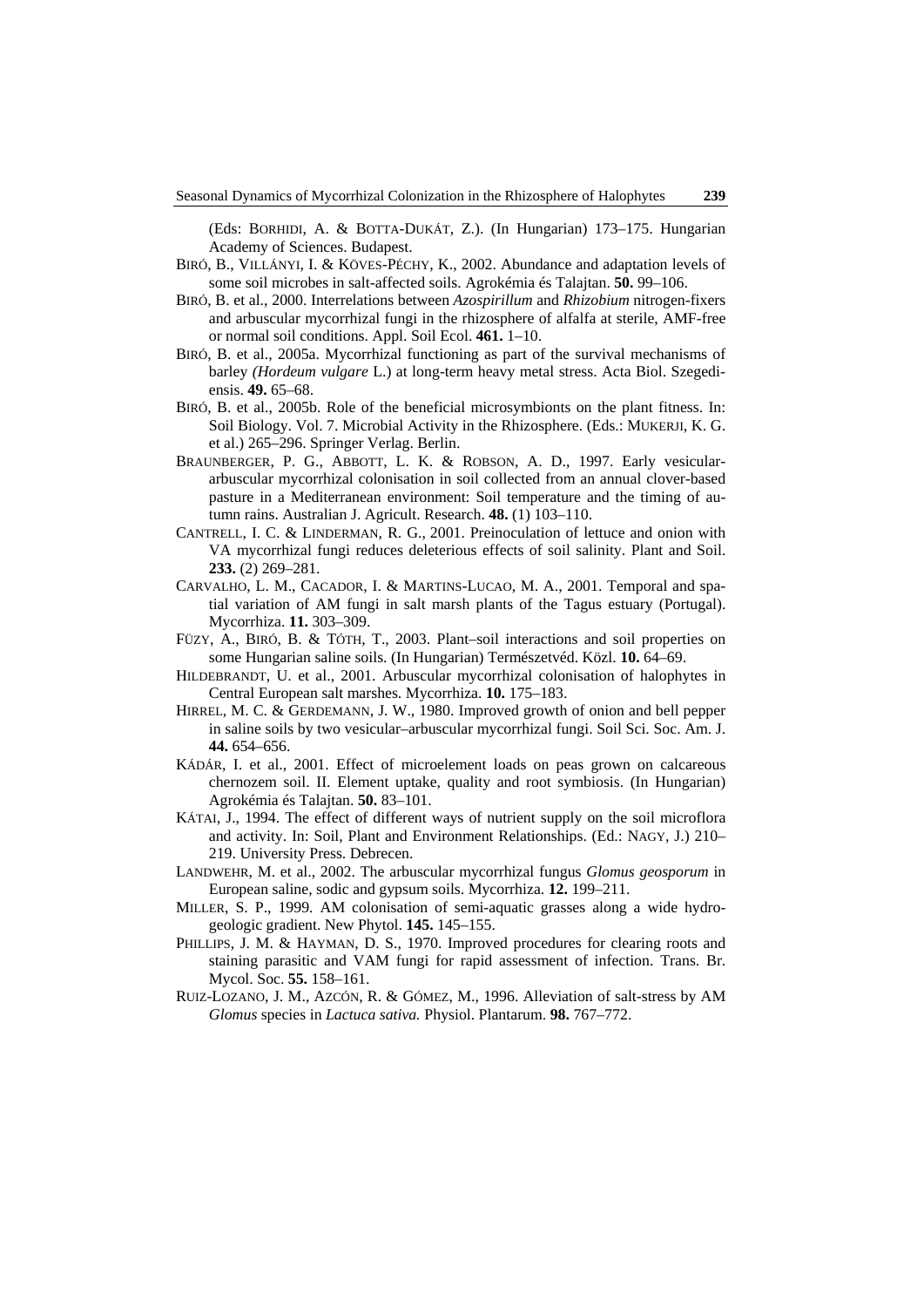(Eds: BORHIDI, A. & BOTTA-DUKÁT, Z.). (In Hungarian) 173–175. Hungarian Academy of Sciences. Budapest.

- BIRÓ, B., VILLÁNYI, I. & KÖVES-PÉCHY, K., 2002. Abundance and adaptation levels of some soil microbes in salt-affected soils. Agrokémia és Talajtan. **50.** 99–106.
- BIRÓ, B. et al., 2000. Interrelations between *Azospirillum* and *Rhizobium* nitrogen-fixers and arbuscular mycorrhizal fungi in the rhizosphere of alfalfa at sterile, AMF-free or normal soil conditions. Appl. Soil Ecol. **461.** 1–10.
- BIRÓ, B. et al., 2005a. Mycorrhizal functioning as part of the survival mechanisms of barley *(Hordeum vulgare* L.) at long-term heavy metal stress. Acta Biol. Szegediensis. **49.** 65–68.
- BIRÓ, B. et al., 2005b. Role of the beneficial microsymbionts on the plant fitness. In: Soil Biology. Vol. 7. Microbial Activity in the Rhizosphere. (Eds.: MUKERJI, K. G. et al.) 265–296. Springer Verlag. Berlin.
- BRAUNBERGER, P. G., ABBOTT, L. K. & ROBSON, A. D., 1997. Early vesiculararbuscular mycorrhizal colonisation in soil collected from an annual clover-based pasture in a Mediterranean environment: Soil temperature and the timing of autumn rains. Australian J. Agricult. Research. **48.** (1) 103–110.
- CANTRELL, I. C. & LINDERMAN, R. G., 2001. Preinoculation of lettuce and onion with VA mycorrhizal fungi reduces deleterious effects of soil salinity. Plant and Soil. **233.** (2) 269–281.
- CARVALHO, L. M., CACADOR, I. & MARTINS-LUCAO, M. A., 2001. Temporal and spatial variation of AM fungi in salt marsh plants of the Tagus estuary (Portugal). Mycorrhiza. **11.** 303–309.
- FÜZY, A., BIRÓ, B. & TÓTH, T., 2003. Plant–soil interactions and soil properties on some Hungarian saline soils. (In Hungarian) Természetvéd. Közl. **10.** 64–69.
- HILDEBRANDT, U. et al., 2001. Arbuscular mycorrhizal colonisation of halophytes in Central European salt marshes. Mycorrhiza. **10.** 175–183.
- HIRREL, M. C. & GERDEMANN, J. W., 1980. Improved growth of onion and bell pepper in saline soils by two vesicular–arbuscular mycorrhizal fungi. Soil Sci. Soc. Am. J. **44.** 654–656.
- KÁDÁR, I. et al., 2001. Effect of microelement loads on peas grown on calcareous chernozem soil. II. Element uptake, quality and root symbiosis. (In Hungarian) Agrokémia és Talajtan. **50.** 83–101.
- KÁTAI, J., 1994. The effect of different ways of nutrient supply on the soil microflora and activity. In: Soil, Plant and Environment Relationships. (Ed.: NAGY, J.) 210– 219. University Press. Debrecen.
- LANDWEHR, M. et al., 2002. The arbuscular mycorrhizal fungus *Glomus geosporum* in European saline, sodic and gypsum soils. Mycorrhiza. **12.** 199–211.
- MILLER, S. P., 1999. AM colonisation of semi-aquatic grasses along a wide hydrogeologic gradient. New Phytol. **145.** 145–155.
- PHILLIPS, J. M. & HAYMAN, D. S., 1970. Improved procedures for clearing roots and staining parasitic and VAM fungi for rapid assessment of infection. Trans. Br. Mycol. Soc. **55.** 158–161.
- RUIZ-LOZANO, J. M., AZCÓN, R. & GÓMEZ, M., 1996. Alleviation of salt-stress by AM *Glomus* species in *Lactuca sativa.* Physiol. Plantarum. **98.** 767–772.